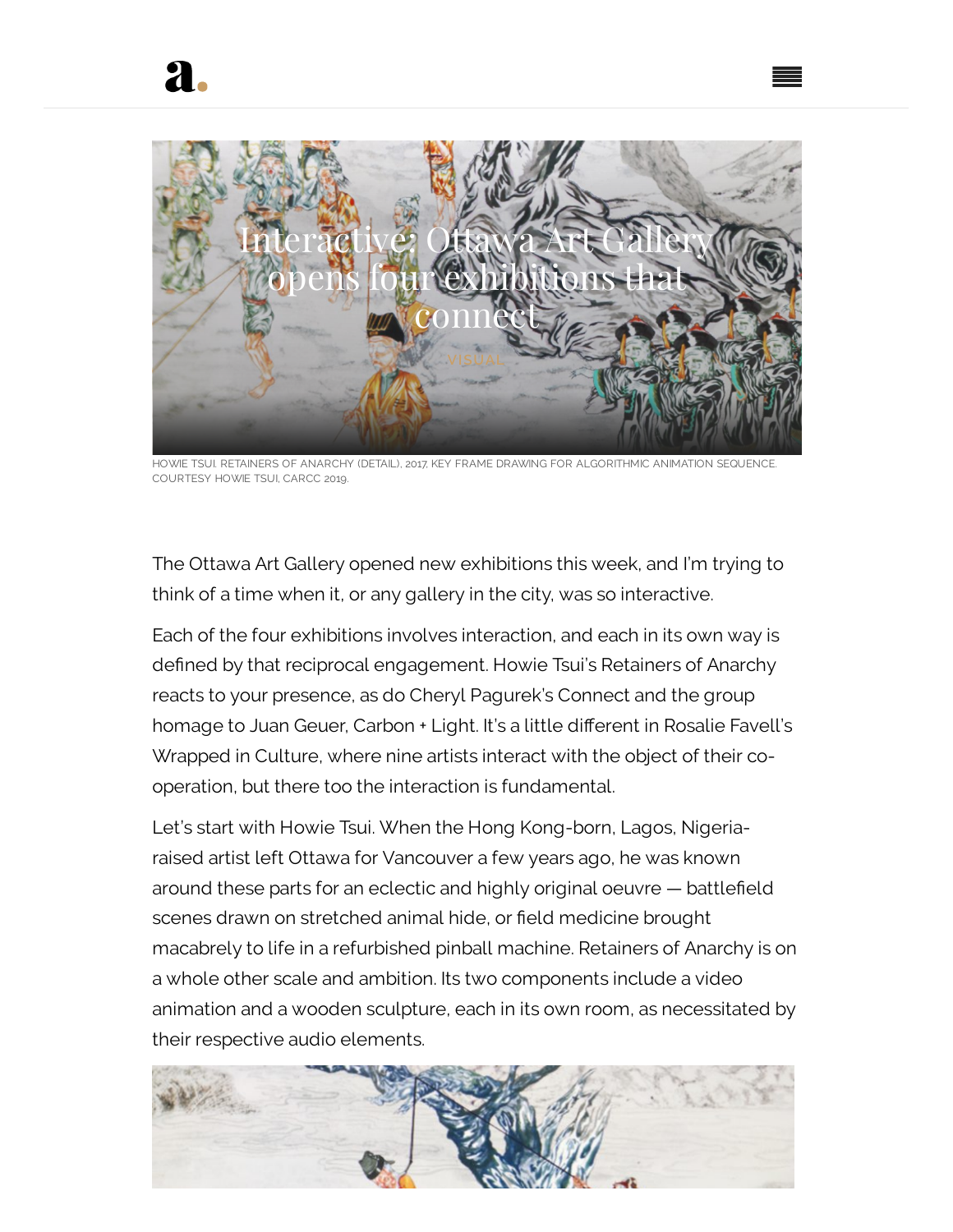

HOWIE TSUI. RETAINERS OF ANARCHY (DETAIL), 2017, KEY FRAME DRAWING FOR ALGORITHMIC ANIMATION SEQUENCE. COURTESY HOWIE TSUI, CARCC 2019.

The Ottawa Art Gallery opened new exhibitions this week, and I'm trying to think of a time when it, or any gallery in the city, was so interactive.

Each of the four exhibitions involves interaction, and each in its own way is defined by that reciprocal engagement. Howie Tsui's Retainers of Anarchy reacts to your presence, as do Cheryl Pagurek's Connect and the group homage to Juan Geuer, Carbon + Light. It's a little different in Rosalie Favell's Wrapped in Culture, where nine artists interact with the object of their cooperation, but there too the interaction is fundamental.

Let's start with Howie Tsui. When the Hong Kong-born, Lagos, Nigeriaraised artist left Ottawa for Vancouver a few years ago, he was known around these parts for an eclectic and highly original oeuvre - battlefield scenes drawn on stretched animal hide, or field medicine brought macabrely to life in a refurbished pinball machine. Retainers of Anarchy is on a whole other scale and ambition. Its two components include a video animation and a wooden sculpture, each in its own room, as necessitated by their respective audio elements.

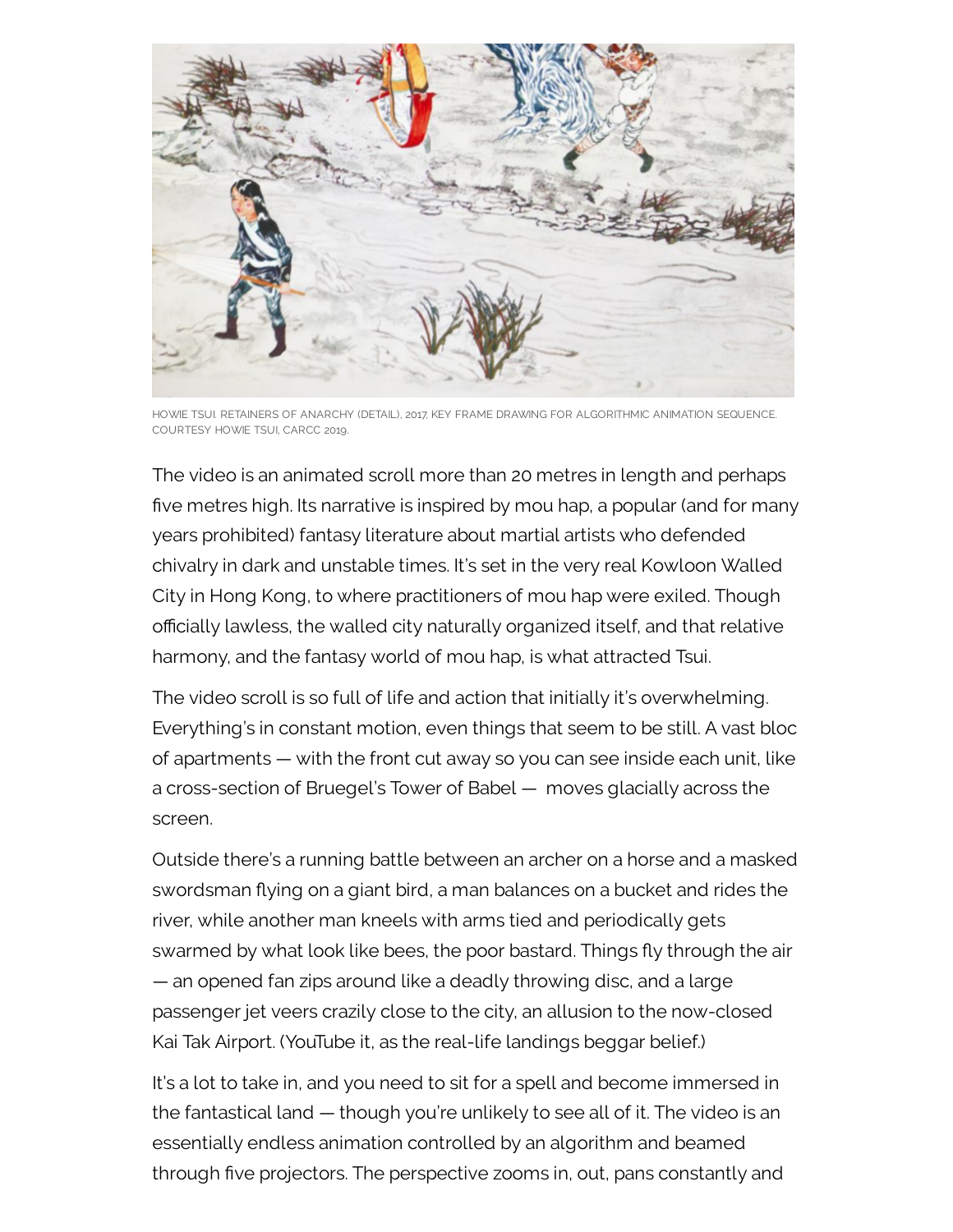

HOWIE TSUI. RETAINERS OF ANARCHY (DETAIL), 2017, KEY FRAME DRAWING FOR ALGORITHMIC ANIMATION SEQUENCE. COURTESY HOWIE TSUI, CARCC 2019.

The video is an animated scroll more than 20 metres in length and perhaps five metres high. Its narrative is inspired by mou hap, a popular (and for many years prohibited) fantasy literature about martial artists who defended chivalry in dark and unstable times. It's set in the very real Kowloon Walled City in Hong Kong, to where practitioners of mou hap were exiled. Though officially lawless, the walled city naturally organized itself, and that relative harmony, and the fantasy world of mou hap, is what attracted Tsui.

The video scroll is so full of life and action that initially it's overwhelming. Everything's in constant motion, even things that seem to be still. A vast bloc of apartments — with the front cut away so you can see inside each unit, like a cross-section of Bruegel's Tower of Babel — moves glacially across the screen.

Outside there's a running battle between an archer on a horse and a masked swordsman flying on a giant bird, a man balances on a bucket and rides the river, while another man kneels with arms tied and periodically gets swarmed by what look like bees, the poor bastard. Things fly through the air — an opened fan zips around like a deadly throwing disc, and a large passenger jet veers crazily close to the city, an allusion to the now-closed Kai Tak Airport. (YouTube it, as the real-life landings beggar belief.)

It's a lot to take in, and you need to sit for a spell and become immersed in the fantastical land — though you're unlikely to see all of it. The video is an essentially endless animation controlled by an algorithm and beamed through five projectors. The perspective zooms in, out, pans constantly and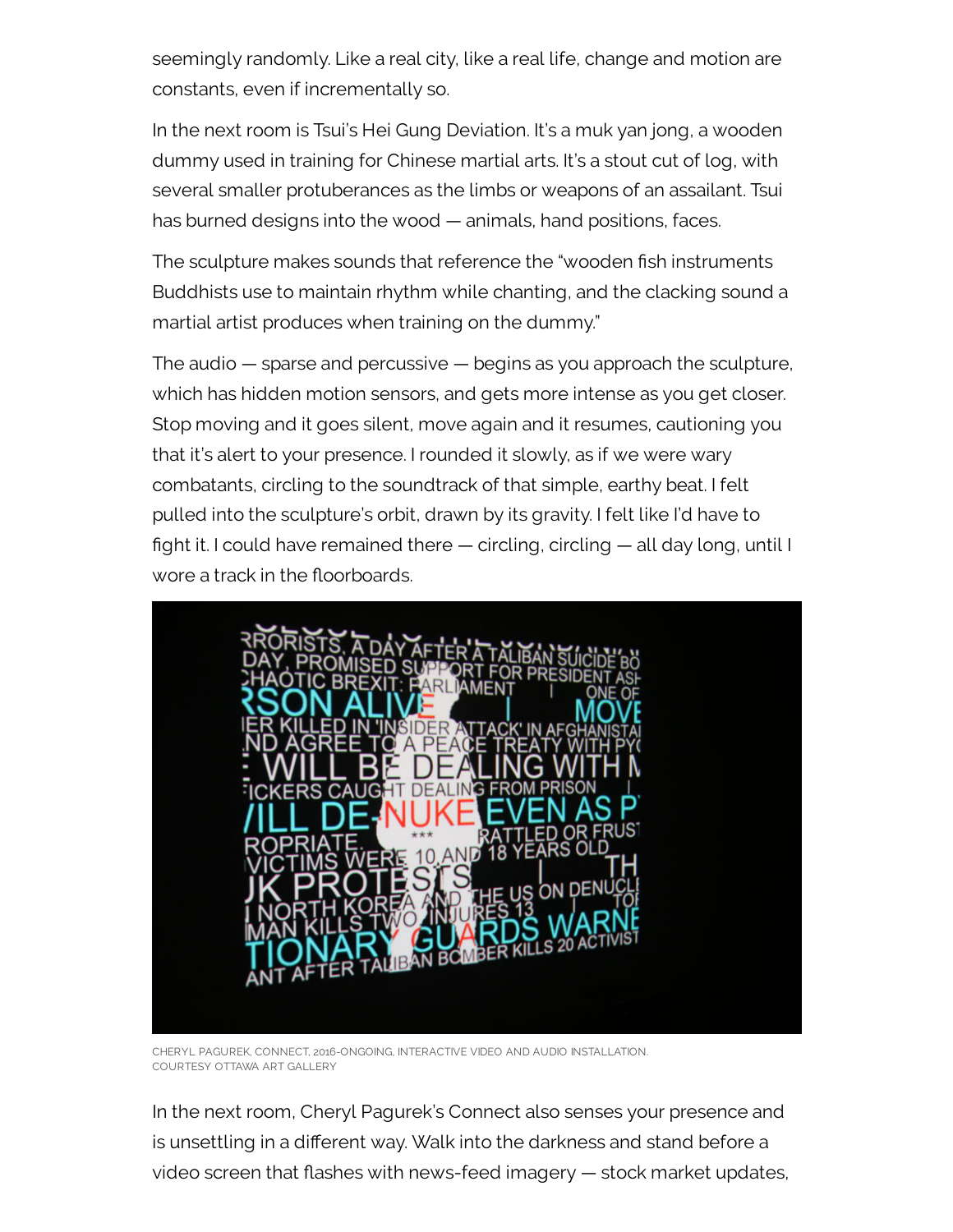seemingly randomly. Like a real city, like a real life, change and motion are constants, even if incrementally so.

In the next room is Tsui's Hei Gung Deviation. It's a muk yan jong, a wooden dummy used in training for Chinese martial arts. It's a stout cut of log, with several smaller protuberances as the limbs or weapons of an assailant. Tsui has burned designs into the wood — animals, hand positions, faces.

The sculpture makes sounds that reference the "wooden fish instruments Buddhists use to maintain rhythm while chanting, and the clacking sound a martial artist produces when training on the dummy."

The audio — sparse and percussive — begins as you approach the sculpture, which has hidden motion sensors, and gets more intense as you get closer. Stop moving and it goes silent, move again and it resumes, cautioning you that it's alert to your presence. I rounded it slowly, as if we were wary combatants, circling to the soundtrack of that simple, earthy beat. I felt pulled into the sculpture's orbit, drawn by its gravity. I felt like I'd have to ght it. I could have remained there — circling, circling — all day long, until I wore a track in the floorboards.



CHERYL PAGUREK, CONNECT, 2016-ONGOING, INTERACTIVE VIDEO AND AUDIO INSTALLATION. COURTESY OTTAWA ART GALLERY

In the next room, Cheryl Pagurek's Connect also senses your presence and is unsettling in a different way. Walk into the darkness and stand before a video screen that flashes with news-feed imagery  $-$  stock market updates,